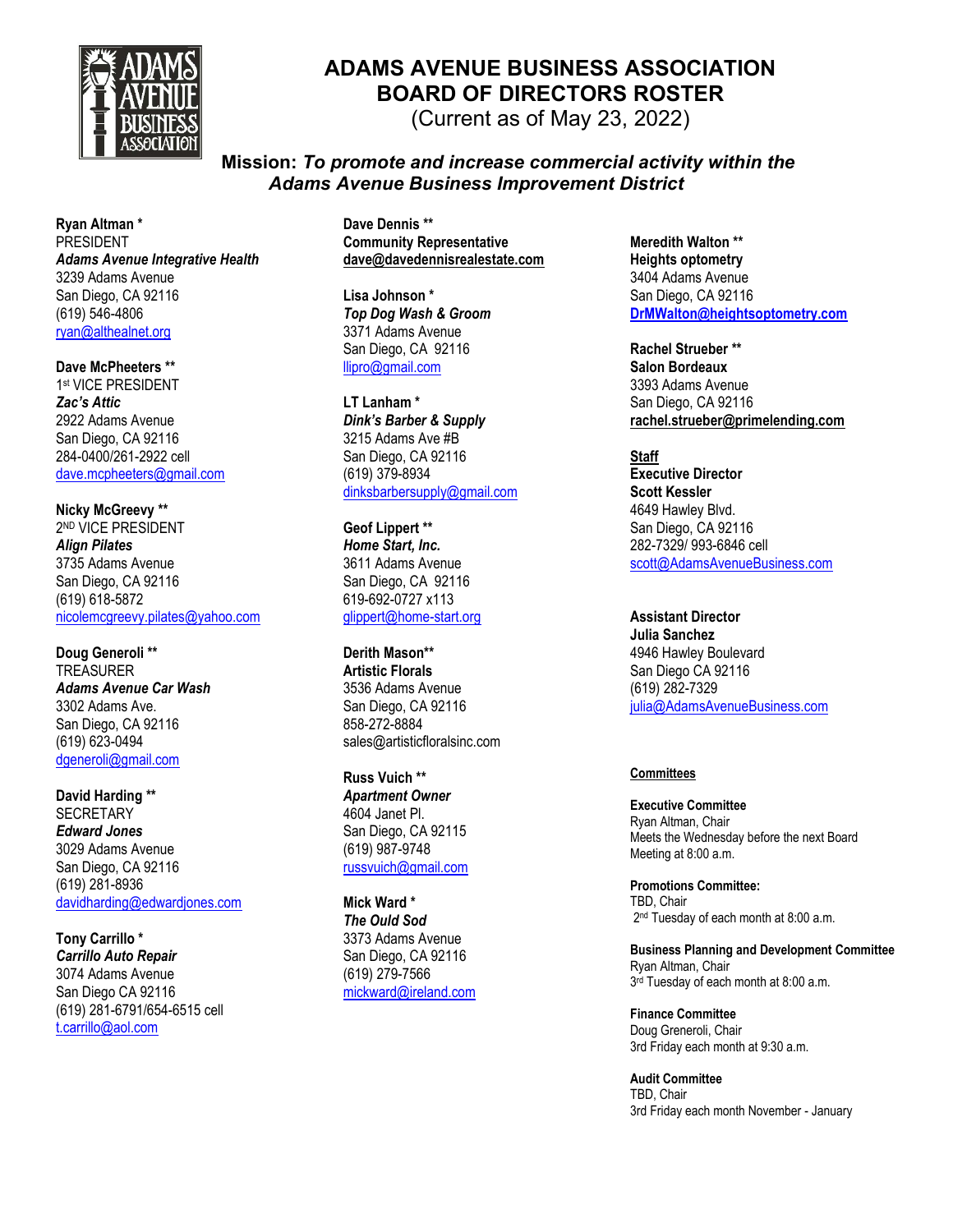

## **ADAMS AVENUE BUSINESS ASSOCIATION BOARD OF DIRECTORS ROSTER**

(Current as of May 23, 2022)

**Mission:** *To promote and increase commercial activity within the Adams Avenue Business Improvement District*

**Ryan Altman \*** PRESIDENT *Adams Avenue Integrative Health* 3239 Adams Avenue San Diego, CA 92116 (619) 546-4806 ryan@althealnet.org

**Dave McPheeters \*\*** 1 st VICE PRESIDENT *Zac's Attic* 2922 Adams Avenue San Diego, CA 92116 284-0400/261-2922 cell [dave.mcpheeters@gmail.com](mailto:dave.mcpheeters@gmail.com)

**Nicky McGreevy \*\*** 2 ND VICE PRESIDENT *Align Pilates* 3735 Adams Avenue San Diego, CA 92116 (619) 618-5872 [nicolemcgreevy.pilates@yahoo.com](mailto:throop@rabbitholesd.com)

**Doug Generoli \*\*** TREASURER *Adams Avenue Car Wash* 3302 Adams Ave. San Diego, CA 92116 (619) 623-0494 [dgeneroli@gmail.com](mailto:dgeneroli@gmail.com)

**David Harding \*\* SECRETARY** *Edward Jones* 3029 Adams Avenue San Diego, CA 92116 (619) 281-8936 [davidharding@edwardjones.com](mailto:throop@rabbitholesd.com)

**Tony Carrillo \*** *Carrillo Auto Repair* 3074 Adams Avenue San Diego CA 92116 (619) 281-6791/654-6515 cell [t.carrillo@aol.com](mailto:t.carrillo@aol.com)

**Dave Dennis \*\* Community Representative dave@davedennisrealestate.com**

**Lisa Johnson \*** *Top Dog Wash & Groom* 3371 Adams Avenue San Diego, CA 92116 [llipro@gmail.com](mailto:llipro@gmail.com)

**LT Lanham \*** *Dink's Barber & Supply* 3215 Adams Ave #B San Diego, CA 92116 (619) 379-8934 [dinksbarbersupply@gmail.com](mailto:dinksbarbersupply@gmail.com)

**Geof Lippert \*\*** *Home Start, Inc.* 3611 Adams Avenue San Diego, CA 92116 619-692-0727 x113 [glippert@home-start.org](mailto:glippert@home-start.org)

**Derith Mason\*\* Artistic Florals** 3536 Adams Avenue San Diego, CA 92116 858-272-8884 sales@artisticfloralsinc.com

**Russ Vuich \*\*** *Apartment Owner* 4604 Janet Pl. San Diego, CA 92115 (619) 987-9748 [russvuich@gmail.com](mailto:rvuich@cox.net)

**Mick Ward \*** *The Ould Sod* 3373 Adams Avenue San Diego, CA 92116 (619) 279-7566 [mickward@ireland.com](mailto:mickward@ireland.com)

**Meredith Walton \*\* Heights optometry** 3404 Adams Avenue San Diego, CA 92116 **[DrMWalton@heightsoptometry.com](mailto:DrMWalton@heightsoptometry.com)**

**Rachel Strueber \*\* Salon Bordeaux** 3393 Adams Avenue San Diego, CA 92116 **rachel.strueber@primelending.com**

**Staff Executive Director Scott Kessler** 4649 Hawley Blvd. San Diego, CA 92116 282-7329/ 993-6846 cell [scott@AdamsAvenueBusiness.com](mailto:scott@AdamsAvenueBusiness.com)

**Assistant Director Julia Sanchez** 4946 Hawley Boulevard San Diego CA 92116 (619) 282-7329 [julia@AdamsAvenueBusiness.com](mailto:julia@AdamsAvenueBusiness.com)

## **Committees**

**Executive Committee** Ryan Altman, Chair Meets the Wednesday before the next Board Meeting at 8:00 a.m.

**Promotions Committee:**  TBD, Chair 2<sup>nd</sup> Tuesday of each month at 8:00 a.m.

**Business Planning and Development Committee** Ryan Altman, Chair 3 rd Tuesday of each month at 8:00 a.m.

**Finance Committee** Doug Greneroli, Chair 3rd Friday each month at 9:30 a.m.

**Audit Committee** TBD, Chair 3rd Friday each month November - January